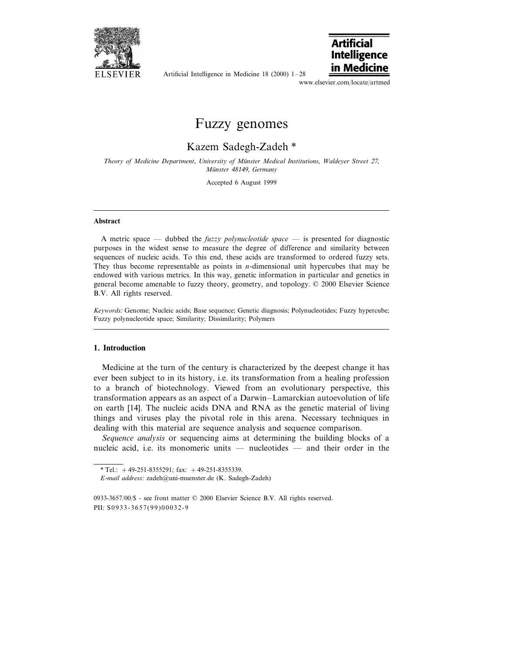

Artificial Intelligence in Medicine 18 (2000) 1–28



www.elsevier.com/locate/artmed

# Fuzzy genomes

# Kazem Sadegh-Zadeh \*

*Theory of Medicine Department*, *Uni*6*ersity of Mu¨nster Medical Institutions*, *Waldeyer Street* <sup>27</sup>, *Mu¨nster* 48149, *Germany*

Accepted 6 August 1999

#### **Abstract**

A metric space — dubbed the *fuzzy polynucleotide space* — is presented for diagnostic purposes in the widest sense to measure the degree of difference and similarity between sequences of nucleic acids. To this end, these acids are transformed to ordered fuzzy sets. They thus become representable as points in *n*-dimensional unit hypercubes that may be endowed with various metrics. In this way, genetic information in particular and genetics in general become amenable to fuzzy theory, geometry, and topology. © 2000 Elsevier Science B.V. All rights reserved.

*Keywords*: Genome; Nucleic acids; Base sequence; Genetic diagnosis; Polynucleotides; Fuzzy hypercube; Fuzzy polynucleotide space; Similarity; Dissimilarity; Polymers

# **1. Introduction**

Medicine at the turn of the century is characterized by the deepest change it has ever been subject to in its history, i.e. its transformation from a healing profession to a branch of biotechnology. Viewed from an evolutionary perspective, this transformation appears as an aspect of a Darwin–Lamarckian autoevolution of life on earth [14]. The nucleic acids DNA and RNA as the genetic material of living things and viruses play the pivotal role in this arena. Necessary techniques in dealing with this material are sequence analysis and sequence comparison.

*Sequence analysis* or sequencing aims at determining the building blocks of a nucleic acid, i.e. its monomeric units — nucleotides — and their order in the

<sup>\*</sup> Tel.:  $+49-251-8355291$ ; fax:  $+49-251-8355339$ .

*E*-*mail address*: zadeh@uni-muenster.de (K. Sadegh-Zadeh)

<sup>0933-3657</sup>/00/\$ - see front matter © 2000 Elsevier Science B.V. All rights reserved. PII: S0933-3657(99)00032-9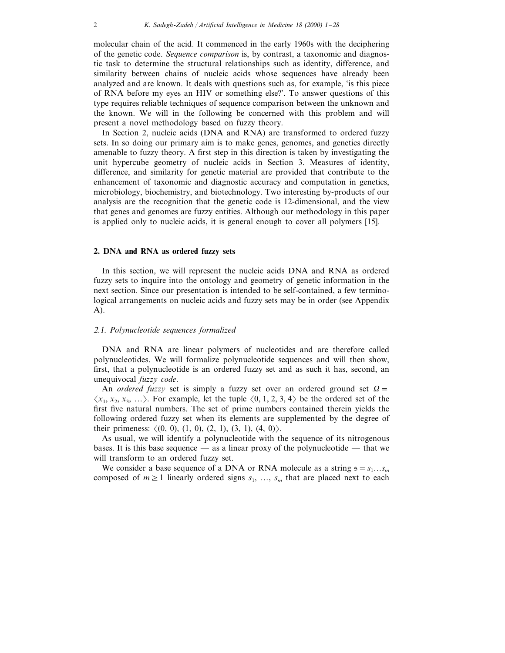molecular chain of the acid. It commenced in the early 1960s with the deciphering of the genetic code. *Sequence comparison* is, by contrast, a taxonomic and diagnostic task to determine the structural relationships such as identity, difference, and similarity between chains of nucleic acids whose sequences have already been analyzed and are known. It deals with questions such as, for example, 'is this piece of RNA before my eyes an HIV or something else?'. To answer questions of this type requires reliable techniques of sequence comparison between the unknown and the known. We will in the following be concerned with this problem and will present a novel methodology based on fuzzy theory.

In Section 2, nucleic acids (DNA and RNA) are transformed to ordered fuzzy sets. In so doing our primary aim is to make genes, genomes, and genetics directly amenable to fuzzy theory. A first step in this direction is taken by investigating the unit hypercube geometry of nucleic acids in Section 3. Measures of identity, difference, and similarity for genetic material are provided that contribute to the enhancement of taxonomic and diagnostic accuracy and computation in genetics, microbiology, biochemistry, and biotechnology. Two interesting by-products of our analysis are the recognition that the genetic code is 12-dimensional, and the view that genes and genomes are fuzzy entities. Although our methodology in this paper is applied only to nucleic acids, it is general enough to cover all polymers [15].

# **2. DNA and RNA as ordered fuzzy sets**

In this section, we will represent the nucleic acids DNA and RNA as ordered fuzzy sets to inquire into the ontology and geometry of genetic information in the next section. Since our presentation is intended to be self-contained, a few terminological arrangements on nucleic acids and fuzzy sets may be in order (see Appendix A).

# <sup>2</sup>.1. *Polynucleotide sequences formalized*

DNA and RNA are linear polymers of nucleotides and are therefore called polynucleotides. We will formalize polynucleotide sequences and will then show, first, that a polynucleotide is an ordered fuzzy set and as such it has, second, an unequivocal *fuzzy code*.

An *ordered fuzzy* set is simply a fuzzy set over an ordered ground set  $\Omega =$  $\langle x_1, x_2, x_3, \ldots \rangle$ . For example, let the tuple  $\langle 0, 1, 2, 3, 4 \rangle$  be the ordered set of the first five natural numbers. The set of prime numbers contained therein yields the following ordered fuzzy set when its elements are supplemented by the degree of their primeness:  $\langle (0, 0), (1, 0), (2, 1), (3, 1), (4, 0) \rangle$ .

As usual, we will identify a polynucleotide with the sequence of its nitrogenous bases. It is this base sequence — as a linear proxy of the polynucleotide — that we will transform to an ordered fuzzy set.

We consider a base sequence of a DNA or RNA molecule as a string  $s = s_1...s_m$ composed of  $m \ge 1$  linearly ordered signs  $s_1$ , ...,  $s_m$  that are placed next to each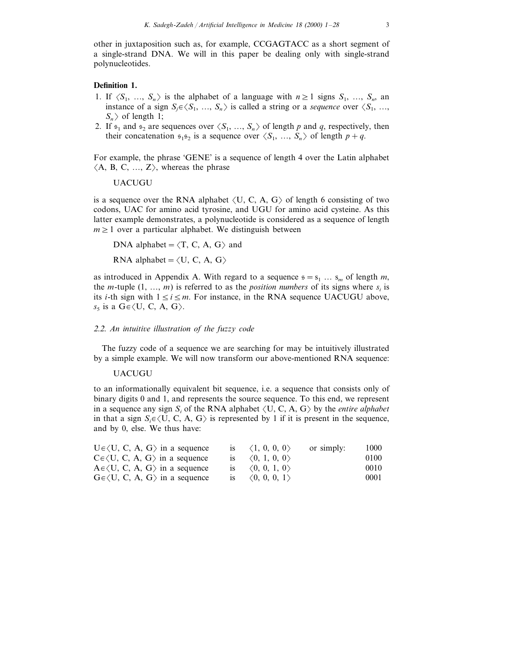other in juxtaposition such as, for example, CCGAGTACC as a short segment of a single-strand DNA. We will in this paper be dealing only with single-strand polynucleotides.

# **Definition 1.**

- 1. If  $\langle S_1, ..., S_n \rangle$  is the alphabet of a language with  $n \ge 1$  signs  $S_1, ..., S_n$ , an instance of a sign  $S_i \in \langle S_1, ..., S_n \rangle$  is called a string or a *sequence* over  $\langle S_1, ..., S_n \rangle$  $S_n$  of length 1;
- 2. If  $s_1$  and  $s_2$  are sequences over  $\langle S_1, ..., S_n \rangle$  of length p and q, respectively, then their concatenation  $s_1s_2$  is a sequence over  $\langle S_1, ..., S_n \rangle$  of length  $p + q$ .

For example, the phrase 'GENE' is a sequence of length 4 over the Latin alphabet  $\langle A, B, C, ..., Z \rangle$ , whereas the phrase

UACUGU

is a sequence over the RNA alphabet  $\langle U, C, A, G \rangle$  of length 6 consisting of two codons, UAC for amino acid tyrosine, and UGU for amino acid cysteine. As this latter example demonstrates, a polynucleotide is considered as a sequence of length  $m \geq 1$  over a particular alphabet. We distinguish between

DNA alphabet =  $\langle T, C, A, G \rangle$  and

RNA alphabet =  $\langle U, C, A, G \rangle$ 

as introduced in Appendix A. With regard to a sequence  $s = s_1 ... s_m$  of length *m*, the *m*-tuple  $(1, ..., m)$  is referred to as the *position numbers* of its signs where  $s_i$  is its *i*-th sign with  $1 \le i \le m$ . For instance, in the RNA sequence UACUGU above,  $s_5$  is a G $\in$   $\langle$ U, C, A, G $\rangle$ .

# 2.2. An intuitive illustration of the fuzzy code

The fuzzy code of a sequence we are searching for may be intuitively illustrated by a simple example. We will now transform our above-mentioned RNA sequence:

#### UACUGU

to an informationally equivalent bit sequence, i.e. a sequence that consists only of binary digits 0 and 1, and represents the source sequence. To this end, we represent in a sequence any sign  $S_i$  of the RNA alphabet  $\langle U, C, A, G \rangle$  by the *entire alphabet* in that a sign  $S_i \in \langle U, C, A, G \rangle$  is represented by 1 if it is present in the sequence, and by 0, else. We thus have:

| $U \in \langle U, C, A, G \rangle$ in a sequence | is $\langle 1, 0, 0, 0 \rangle$ | or simply: | 1000 |
|--------------------------------------------------|---------------------------------|------------|------|
| $C \in \langle U, C, A, G \rangle$ in a sequence | is $\langle 0, 1, 0, 0 \rangle$ |            | 0100 |
| $A \in \langle U, C, A, G \rangle$ in a sequence | is $\langle 0, 0, 1, 0 \rangle$ |            | 0010 |
| $G \in \langle U, C, A, G \rangle$ in a sequence | (0, 0, 0, 1)                    |            | 0001 |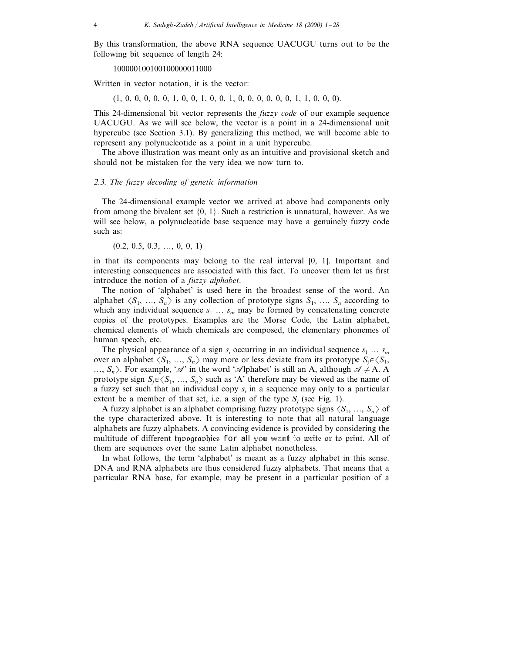By this transformation, the above RNA sequence UACUGU turns out to be the following bit sequence of length 24:

100000100100100000011000

Written in vector notation, it is the vector:

(1, 0, 0, 0, 0, 0, 1, 0, 0, 1, 0, 0, 1, 0, 0, 0, 0, 0, 0, 1, 1, 0, 0, 0).

This 24-dimensional bit vector represents the *fuzzy code* of our example sequence UACUGU. As we will see below, the vector is a point in a 24-dimensional unit hypercube (see Section 3.1). By generalizing this method, we will become able to represent any polynucleotide as a point in a unit hypercube.

The above illustration was meant only as an intuitive and provisional sketch and should not be mistaken for the very idea we now turn to.

# <sup>2</sup>.3. *The fuzzy decoding of genetic information*

The 24-dimensional example vector we arrived at above had components only from among the bivalent set  $\{0, 1\}$ . Such a restriction is unnatural, however. As we will see below, a polynucleotide base sequence may have a genuinely fuzzy code such as:

(0.2, 0.5, 0.3, …, 0, 0, 1)

in that its components may belong to the real interval [0, 1]. Important and interesting consequences are associated with this fact. To uncover them let us first introduce the notion of a *fuzzy alphabet*.

The notion of 'alphabet' is used here in the broadest sense of the word. An alphabet  $\langle S_1, ..., S_n \rangle$  is any collection of prototype signs  $S_1, ..., S_n$  according to which any individual sequence  $s_1 \ldots s_m$  may be formed by concatenating concrete copies of the prototypes. Examples are the Morse Code, the Latin alphabet, chemical elements of which chemicals are composed, the elementary phonemes of human speech, etc.

The physical appearance of a sign  $s_i$  occurring in an individual sequence  $s_1 \ldots s_m$ over an alphabet  $\langle S_1, ..., S_n \rangle$  may more or less deviate from its prototype  $S_i \in \langle S_1, \rangle$  $..., S_n$ ). For example, '*A*' in the word '*A* lphabet' is still an A, although  $A \neq A$ . A prototype sign  $S_i \in \langle S_1, ..., S_n \rangle$  such as 'A' therefore may be viewed as the name of a fuzzy set such that an individual copy  $s_i$  in a sequence may only to a particular extent be a member of that set, i.e. a sign of the type  $S_i$  (see Fig. 1).

A fuzzy alphabet is an alphabet comprising fuzzy prototype signs  $\langle S_1, ..., S_n \rangle$  of the type characterized above. It is interesting to note that all natural language alphabets are fuzzy alphabets. A convincing evidence is provided by considering the multitude of different typographies for all you want to write or to print. All of them are sequences over the same Latin alphabet nonetheless.

In what follows, the term 'alphabet' is meant as a fuzzy alphabet in this sense. DNA and RNA alphabets are thus considered fuzzy alphabets. That means that a particular RNA base, for example, may be present in a particular position of a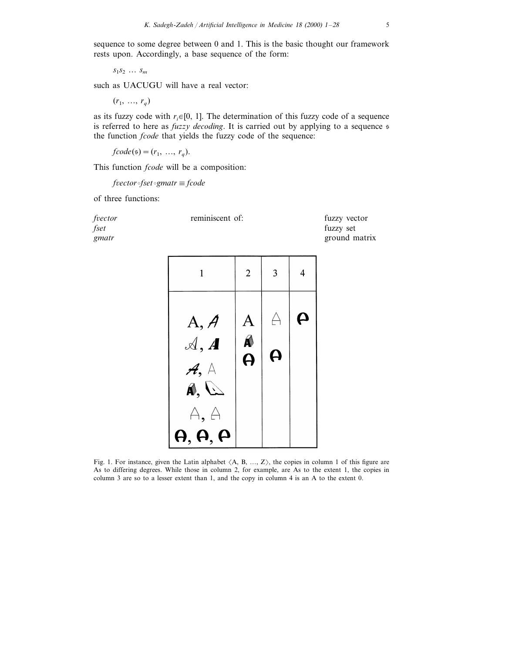sequence to some degree between 0 and 1. This is the basic thought our framework rests upon. Accordingly, a base sequence of the form:

 $s_1 s_2 \ldots s_m$ 

such as UACUGU will have a real vector:

 $(r_1, ..., r_a)$ 

as its fuzzy code with  $r_i \in [0, 1]$ . The determination of this fuzzy code of a sequence is referred to here as *fuzzy decoding*. It is carried out by applying to a sequence s the function *fcode* that yields the fuzzy code of the sequence:

 $fcode(s)=(r_1, ..., r_a).$ 

This function *fcode* will be a composition:

*fvector* $\circ$ *fset* $\circ$ *gmatr*  $\equiv$  *fcode* 

of three functions:

*fvector* reminiscent of: fuzzy vector

*fset* fuzzy set *gmatr* ground matrix



Fig. 1. For instance, given the Latin alphabet  $\langle A, B, ..., Z \rangle$ , the copies in column 1 of this figure are As to differing degrees. While those in column 2, for example, are As to the extent 1, the copies in column 3 are so to a lesser extent than 1, and the copy in column 4 is an A to the extent 0.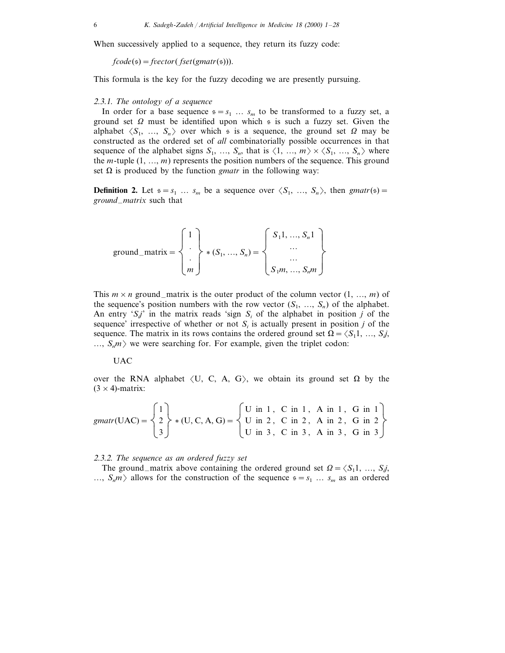When successively applied to a sequence, they return its fuzzy code:

 $fcode(s) = fvector(fset(gmatr(s))).$ 

This formula is the key for the fuzzy decoding we are presently pursuing.

#### <sup>2</sup>.3.1. *The ontology of a sequence*

In order for a base sequence  $s = s_1 \ldots s_m$  to be transformed to a fuzzy set, a ground set  $\Omega$  must be identified upon which s is such a fuzzy set. Given the alphabet  $\langle S_1, ..., S_n \rangle$  over which s is a sequence, the ground set  $\Omega$  may be constructed as the ordered set of *all* combinatorially possible occurrences in that sequence of the alphabet signs  $S_1$ , …,  $S_n$ , that is  $\langle 1, ..., m \rangle \times \langle S_1, ..., S_n \rangle$  where the *m*-tuple (1, …, *m*) represents the position numbers of the sequence. This ground set  $\Omega$  is produced by the function *gmatr* in the following way:

**Definition 2.** Let  $s = s_1$  ...  $s_m$  be a sequence over  $\langle S_1, ..., S_n \rangle$ , then gmatr(s) = *ground*–*matrix* such that

$$
ground_matrix = \begin{Bmatrix} 1 \\ \cdot \\ \cdot \\ \cdot \\ m \end{Bmatrix} * (S_1, ..., S_n) = \begin{Bmatrix} S_11, ..., S_n1 \\ \cdot \\ \cdot \\ \cdot \\ S_1m, ..., S_nm \end{Bmatrix}
$$

This  $m \times n$  ground matrix is the outer product of the column vector  $(1, ..., m)$  of the sequence's position numbers with the row vector  $(S_1, ..., S_n)$  of the alphabet. An entry ' $S_j$ ' in the matrix reads 'sign  $S_i$  of the alphabet in position *j* of the sequence' irrespective of whether or not  $S_i$  is actually present in position *j* of the sequence. The matrix in its rows contains the ordered ground set  $\Omega = \langle S_1 1, ..., S_j \rangle$ ,  $..., S<sub>n</sub>m$  we were searching for. For example, given the triplet codon:

#### UAC

over the RNA alphabet  $\langle U, C, A, G \rangle$ , we obtain its ground set  $\Omega$  by the  $(3 \times 4)$ -matrix:

$$
gmatr(UAC) = \begin{Bmatrix} 1 \\ 2 \\ 3 \end{Bmatrix} * (U, C, A, G) = \begin{Bmatrix} U & \text{in } 1, C & \text{in } 1, A & \text{in } 1, G & \text{in } 1 \\ U & \text{in } 2, C & \text{in } 2, A & \text{in } 2, G & \text{in } 2 \\ U & \text{in } 3, C & \text{in } 3, A & \text{in } 3, G & \text{in } 3 \end{Bmatrix}
$$

<sup>2</sup>.3.2. *The sequence as an ordered fuzzy set*

The ground–matrix above containing the ordered ground set  $\Omega = \langle S_1 1, ..., S_j \rangle$ ,  $..., S_n m$  allows for the construction of the sequence  $s = s_1 ... s_m$  as an ordered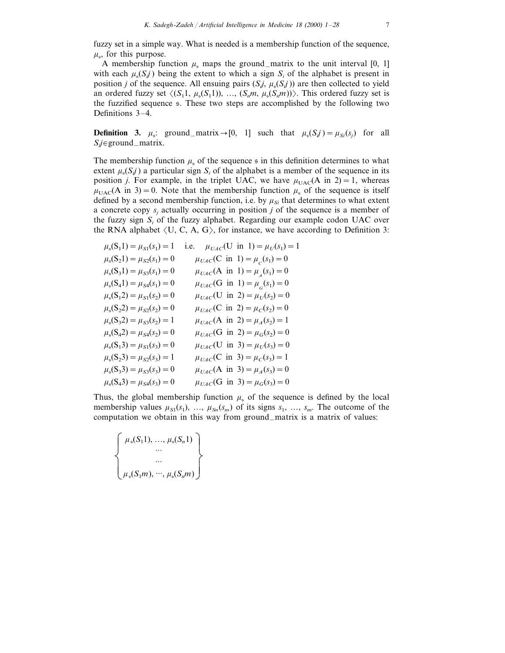fuzzy set in a simple way. What is needed is a membership function of the sequence,  $\mu_{\rm s}$ , for this purpose.

A membership function  $\mu_s$  maps the ground–matrix to the unit interval [0, 1] with each  $\mu_s(S_j)$  being the extent to which a sign  $S_i$  of the alphabet is present in position *j* of the sequence. All ensuing pairs  $(S_j, \mu_s(S_j))$  are then collected to yield an ordered fuzzy set  $\langle (S_1, 1), \mu_s(S_1, 1) \rangle$ , …,  $(S_n, m, \mu_s(S_n, m))$ . This ordered fuzzy set is the fuzzified sequence s. These two steps are accomplished by the following two Definitions 3–4.

**Definition 3.**  $\mu_s$ : ground matrix  $\rightarrow$  [0, 1] such that  $\mu_s(S_i) = \mu_{Si}(s_i)$  for all *S<sub>i</sub>* ∈ ground\_matrix.

The membership function  $\mu_s$  of the sequence s in this definition determines to what extent  $\mu_s(S_j)$  a particular sign  $S_i$  of the alphabet is a member of the sequence in its position *j*. For example, in the triplet UAC, we have  $\mu_{\text{IIAC}}(A \text{ in } 2) = 1$ , whereas  $\mu_{\text{UAC}}(A \text{ in } 3) = 0$ . Note that the membership function  $\mu_s$  of the sequence is itself defined by a second membership function, i.e. by  $\mu_{Si}$  that determines to what extent a concrete copy *sj* actually occurring in position *j* of the sequence is a member of the fuzzy sign  $S_i$  of the fuzzy alphabet. Regarding our example codon UAC over the RNA alphabet  $\langle U, C, A, G \rangle$ , for instance, we have according to Definition 3:

$$
\mu_{s}(S_{1}1) = \mu_{S1}(s_{1}) = 1 \quad \text{i.e.} \quad \mu_{UAC}(U \text{ in } 1) = \mu_{U}(s_{1}) = 1
$$
\n
$$
\mu_{s}(S_{2}1) = \mu_{S2}(s_{1}) = 0 \qquad \mu_{UAC}(C \text{ in } 1) = \mu_{c}(s_{1}) = 0
$$
\n
$$
\mu_{s}(S_{3}1) = \mu_{S3}(s_{1}) = 0 \qquad \mu_{UAC}(A \text{ in } 1) = \mu_{a}(s_{1}) = 0
$$
\n
$$
\mu_{s}(S_{4}1) = \mu_{S4}(s_{1}) = 0 \qquad \mu_{UAC}(G \text{ in } 1) = \mu_{c}(s_{1}) = 0
$$
\n
$$
\mu_{s}(S_{1}2) = \mu_{S1}(s_{2}) = 0 \qquad \mu_{UAC}(U \text{ in } 2) = \mu_{U}(s_{2}) = 0
$$
\n
$$
\mu_{s}(S_{2}2) = \mu_{S2}(s_{2}) = 0 \qquad \mu_{UAC}(C \text{ in } 2) = \mu_{c}(s_{2}) = 0
$$
\n
$$
\mu_{s}(S_{3}2) = \mu_{S3}(s_{2}) = 1 \qquad \mu_{UAC}(A \text{ in } 2) = \mu_{a}(s_{2}) = 1
$$
\n
$$
\mu_{s}(S_{4}2) = \mu_{S4}(s_{2}) = 0 \qquad \mu_{UAC}(U \text{ in } 3) = \mu_{U}(s_{3}) = 0
$$
\n
$$
\mu_{s}(S_{2}3) = \mu_{S1}(s_{3}) = 0 \qquad \mu_{UAC}(U \text{ in } 3) = \mu_{C}(s_{3}) = 1
$$
\n
$$
\mu_{s}(S_{3}3) = \mu_{S3}(s_{3}) = 0 \qquad \mu_{UAC}(A \text{ in } 3) = \mu_{c}(s_{3}) = 0
$$
\n
$$
\mu_{s}(S_{4}3) = \mu_{S4}(s_{3}) = 0 \qquad \mu_{UAC}(G \text{ in } 3) = \mu_{a}(s_{3}) = 0
$$

Thus, the global membership function  $\mu_s$  of the sequence is defined by the local membership values  $\mu_{S1}(s_1), \ldots, \mu_{Sn}(s_m)$  of its signs  $s_1, \ldots, s_m$ . The outcome of the computation we obtain in this way from ground–matrix is a matrix of values:

$$
\begin{Bmatrix}\n\mu_s(S_11), \dots, \mu_s(S_n1) \\
\vdots \\
\vdots \\
\mu_s(S_1m), \dots, \mu_s(S_nm)\n\end{Bmatrix}
$$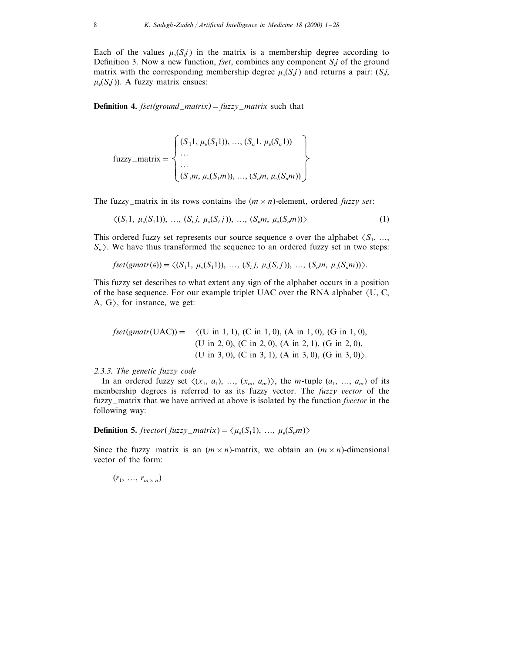Each of the values  $\mu_s(S_j)$  in the matrix is a membership degree according to Definition 3. Now a new function, *fset*, combines any component  $S_j$  of the ground matrix with the corresponding membership degree  $\mu_s(S_j)$  and returns a pair:  $(S_j)$ ,  $\mu_{s}(S_j)$ ). A fuzzy matrix ensues:

**Definition 4.** *fset*(*ground*<sub>–</sub>*matrix*) = *fuzzy*<sub>–</sub>*matrix* such that

fuzzy\_matrix = 
$$
\begin{Bmatrix}\n(S_11, \mu_s(S_11)), \dots, (S_n1, \mu_s(S_n1)) \\
\vdots \\
\vdots \\
(S_1m, \mu_s(S_1m)), \dots, (S_nm, \mu_s(S_nm))\n\end{Bmatrix}
$$

The fuzzy<sub>–</sub>matrix in its rows contains the  $(m \times n)$ -element, ordered *fuzzy set*:

$$
\langle (S_11, \mu_s(S_11)), \ldots, (S_i \, j, \mu_s(S_i \, j)), \ldots, (S_n m, \mu_s(S_n m)) \rangle \tag{1}
$$

This ordered fuzzy set represents our source sequence  $\epsilon$  over the alphabet  $\langle S_1, ..., S_n \rangle$  $S_n$ ). We have thus transformed the sequence to an ordered fuzzy set in two steps:

$$
fset(gmatr(s)) = \langle (S_11, \mu_s(S_11)), \ldots, (S_i j, \mu_s(S_i j)), \ldots, (S_n m, \mu_s(S_n m)) \rangle.
$$

This fuzzy set describes to what extent any sign of the alphabet occurs in a position of the base sequence. For our example triplet UAC over the RNA alphabet  $\langle U, C, \rangle$ A,  $G$ ), for instance, we get:

$$
fset(gmatr(UAC)) = \langle (U \text{ in } 1, 1), (C \text{ in } 1, 0), (A \text{ in } 1, 0), (G \text{ in } 1, 0),
$$
  

$$
(U \text{ in } 2, 0), (C \text{ in } 2, 0), (A \text{ in } 2, 1), (G \text{ in } 2, 0),
$$
  

$$
(U \text{ in } 3, 0), (C \text{ in } 3, 1), (A \text{ in } 3, 0), (G \text{ in } 3, 0) \rangle.
$$

#### <sup>2</sup>.3.3. *The genetic fuzzy code*

In an ordered fuzzy set  $\langle (x_1, a_1), ..., (x_m, a_m) \rangle$ , the *m*-tuple  $(a_1, ..., a_m)$  of its membership degrees is referred to as its fuzzy vector. The *fuzzy vector* of the fuzzy<sub>–</sub>matrix that we have arrived at above is isolated by the function *fvector* in the following way:

**Definition 5.** *fvector*( *fuzzy*<sub>–</sub>*matrix*) =  $\langle \mu_s(S_11), \ldots, \mu_s(S_m n) \rangle$ 

Since the fuzzy<sub>–</sub>matrix is an  $(m \times n)$ -matrix, we obtain an  $(m \times n)$ -dimensional vector of the form:

 $(r_1, ..., r_{m \times n})$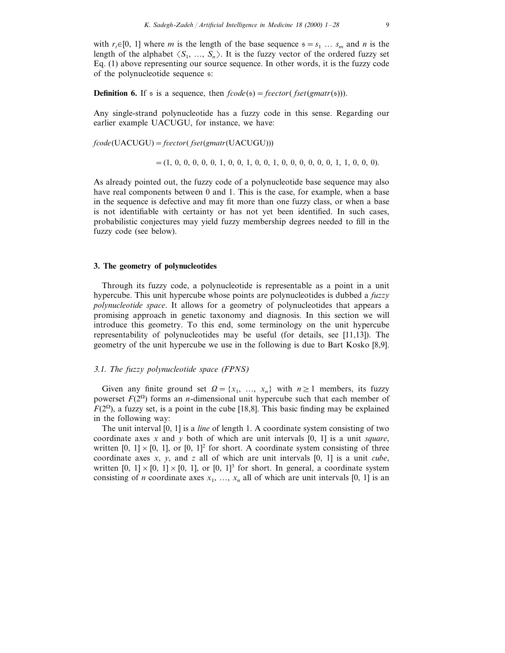with  $r_i \in [0, 1]$  where *m* is the length of the base sequence  $s = s_1 ... s_m$  and *n* is the length of the alphabet  $\langle S_1, ..., S_n \rangle$ . It is the fuzzy vector of the ordered fuzzy set Eq. (1) above representing our source sequence. In other words, it is the fuzzy code of the polynucleotide sequence s:

**Definition 6.** If s is a sequence, then  $fcode(s) = fvector(fset(gmatr(s)))$ .

Any single-strand polynucleotide has a fuzzy code in this sense. Regarding our earlier example UACUGU, for instance, we have:

 $fcode(UACUGU) = fvector(fset(gmatr(UACUGU)))$ 

$$
= (1, 0, 0, 0, 0, 0, 1, 0, 0, 1, 0, 0, 1, 0, 0, 0, 0, 0, 0, 1, 1, 0, 0, 0).
$$

As already pointed out, the fuzzy code of a polynucleotide base sequence may also have real components between 0 and 1. This is the case, for example, when a base in the sequence is defective and may fit more than one fuzzy class, or when a base is not identifiable with certainty or has not yet been identified. In such cases, probabilistic conjectures may yield fuzzy membership degrees needed to fill in the fuzzy code (see below).

#### **3. The geometry of polynucleotides**

Through its fuzzy code, a polynucleotide is representable as a point in a unit hypercube. This unit hypercube whose points are polynucleotides is dubbed a *fuzzy polynucleotide space*. It allows for a geometry of polynucleotides that appears a promising approach in genetic taxonomy and diagnosis. In this section we will introduce this geometry. To this end, some terminology on the unit hypercube representability of polynucleotides may be useful (for details, see [11,13]). The geometry of the unit hypercube we use in the following is due to Bart Kosko [8,9].

## 3.1. *The fuzzy polynucleotide space* (*FPNS*)

Given any finite ground set  $\Omega = \{x_1, ..., x_n\}$  with  $n \ge 1$  members, its fuzzy powerset  $F(2^{\Omega})$  forms an *n*-dimensional unit hypercube such that each member of  $F(2^{\Omega})$ , a fuzzy set, is a point in the cube [18,8]. This basic finding may be explained in the following way:

The unit interval [0, 1] is a *line* of length 1. A coordinate system consisting of two coordinate axes *x* and *y* both of which are unit intervals [0, 1] is a unit *square*, written [0, 1]  $\times$  [0, 1], or [0, 1]<sup>2</sup> for short. A coordinate system consisting of three coordinate axes *x*, *y*, and *z* all of which are unit intervals [0, 1] is a unit *cube*, written [0, 1]  $\times$  [0, 1]  $\times$  [0, 1], or [0, 1]<sup>3</sup> for short. In general, a coordinate system consisting of *n* coordinate axes  $x_1$ , ...,  $x_n$  all of which are unit intervals [0, 1] is an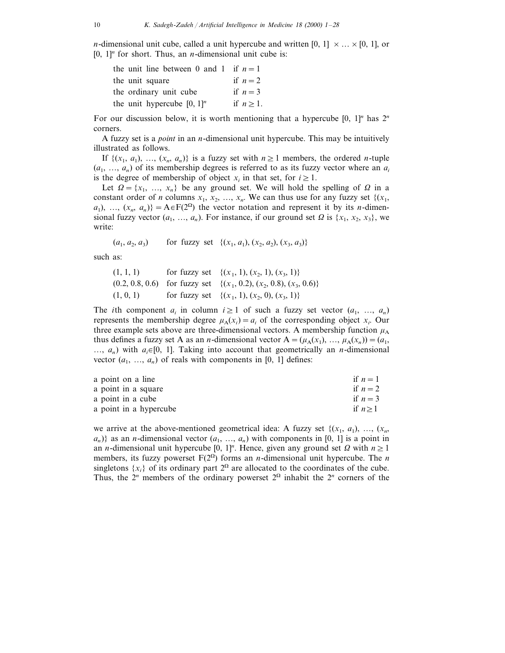*n*-dimensional unit cube, called a unit hypercube and written [0, 1]  $\times ... \times [0, 1]$ , or [0, 1]*<sup>n</sup>* for short. Thus, an *n*-dimensional unit cube is:

| the unit line between 0 and 1 if $n = 1$ |            |
|------------------------------------------|------------|
| the unit square                          | if $n=2$   |
| the ordinary unit cube                   | if $n=3$   |
| the unit hypercube $[0, 1]^n$            | if $n>1$ . |

For our discussion below, it is worth mentioning that a hypercube  $[0, 1]^n$  has  $2^n$ corners.

A fuzzy set is a *point* in an *n*-dimensional unit hypercube. This may be intuitively illustrated as follows.

If  $\{(x_1, a_1), \ldots, (x_n, a_n)\}\$ is a fuzzy set with  $n \geq 1$  members, the ordered *n*-tuple  $(a_1, \ldots, a_n)$  of its membership degrees is referred to as its fuzzy vector where an  $a_i$ is the degree of membership of object  $x_i$  in that set, for  $i \geq 1$ .

Let  $\Omega = \{x_1, \ldots, x_n\}$  be any ground set. We will hold the spelling of  $\Omega$  in a constant order of *n* columns  $x_1, x_2, ..., x_n$ . We can thus use for any fuzzy set  $\{(x_1, x_2, ..., x_n)\}$  $a_1$ , ...,  $(x_n, a_n)$ } = A $\in$ F(2<sup>2</sup>) the vector notation and represent it by its *n*-dimensional fuzzy vector  $(a_1, ..., a_n)$ . For instance, if our ground set  $\Omega$  is  $\{x_1, x_2, x_3\}$ , we write:

$$
(a_1, a_2, a_3)
$$
 for fuzzy set  $\{(x_1, a_1), (x_2, a_2), (x_3, a_3)\}$ 

such as:

| (1, 1, 1) | for fuzzy set $\{(x_1, 1), (x_2, 1), (x_3, 1)\}\$                        |
|-----------|--------------------------------------------------------------------------|
|           | $(0.2, 0.8, 0.6)$ for fuzzy set $\{(x_1, 0.2), (x_2, 0.8), (x_3, 0.6)\}$ |
| (1, 0, 1) | for fuzzy set $\{(x_1, 1), (x_2, 0), (x_3, 1)\}\$                        |

The *i*th component  $a_i$  in column  $i \geq 1$  of such a fuzzy set vector  $(a_1, ..., a_n)$ represents the membership degree  $\mu_A(x_i) = a_i$  of the corresponding object  $x_i$ . Our three example sets above are three-dimensional vectors. A membership function  $\mu_A$ thus defines a fuzzy set A as an *n*-dimensional vector  $A = (\mu_A(x_1), ..., \mu_A(x_n)) = (a_1,$  $..., a_n$ ) with  $a_i \in [0, 1]$ . Taking into account that geometrically an *n*-dimensional vector  $(a_1, ..., a_n)$  of reals with components in [0, 1] defines:

| a point on a line      | if $n=1$ |
|------------------------|----------|
| a point in a square    | if $n=2$ |
| a point in a cube      | if $n=3$ |
| a point in a hypercube | if $n>1$ |

we arrive at the above-mentioned geometrical idea: A fuzzy set  $\{(x_1, a_1), ..., (x_n,$  $a_n$ )} as an *n*-dimensional vector  $(a_1, \ldots, a_n)$  with components in [0, 1] is a point in an *n*-dimensional unit hypercube [0, 1]<sup>n</sup>. Hence, given any ground set  $\Omega$  with  $n \ge 1$ members, its fuzzy powerset  $F(2^{\Omega})$  forms an *n*-dimensional unit hypercube. The *n* singletons  $\{x_i\}$  of its ordinary part  $2^{\Omega}$  are allocated to the coordinates of the cube. Thus, the  $2^n$  members of the ordinary powerset  $2^{\Omega}$  inhabit the  $2^n$  corners of the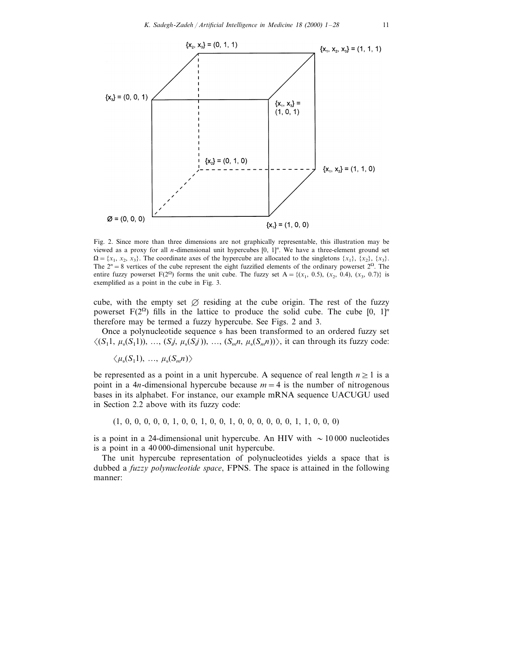

Fig. 2. Since more than three dimensions are not graphically representable, this illustration may be viewed as a proxy for all *n*-dimensional unit hypercubes [0, 1]*<sup>n</sup>* . We have a three-element ground set  $\Omega = \{x_1, x_2, x_3\}$ . The coordinate axes of the hypercube are allocated to the singletons  $\{x_1\}, \{x_2\}, \{x_3\}$ . The  $2^n = 8$  vertices of the cube represent the eight fuzzified elements of the ordinary powerset  $2^{\Omega}$ . The entire fuzzy powerset F( $2^{\Omega}$ ) forms the unit cube. The fuzzy set A = {( $x_1$ , 0.5), ( $x_2$ , 0.4), ( $x_3$ , 0.7)} is exemplified as a point in the cube in Fig. 3.

cube, with the empty set  $\varnothing$  residing at the cube origin. The rest of the fuzzy powerset  $F(2^{\Omega})$  fills in the lattice to produce the solid cube. The cube  $[0, 1]^n$ therefore may be termed a fuzzy hypercube. See Figs. 2 and 3.

Once a polynucleotide sequence s has been transformed to an ordered fuzzy set  $\langle (S_1 1, \mu_s (S_1 1)), \ldots, (S_j, \mu_s (S_j )), \ldots, (S_m n, \mu_s (S_m n)) \rangle$ , it can through its fuzzy code:

 $\langle \mu_{\mathsf{s}}(S_11), \ldots, \mu_{\mathsf{s}}(S_m n) \rangle$ 

be represented as a point in a unit hypercube. A sequence of real length  $n \geq 1$  is a point in a 4*n*-dimensional hypercube because  $m=4$  is the number of nitrogenous bases in its alphabet. For instance, our example mRNA sequence UACUGU used in Section 2.2 above with its fuzzy code:

(1, 0, 0, 0, 0, 0, 1, 0, 0, 1, 0, 0, 1, 0, 0, 0, 0, 0, 0, 1, 1, 0, 0, 0)

is a point in a 24-dimensional unit hypercube. An HIV with  $\sim$  10000 nucleotides is a point in a 40 000-dimensional unit hypercube.

The unit hypercube representation of polynucleotides yields a space that is dubbed a *fuzzy polynucleotide space*, FPNS. The space is attained in the following manner: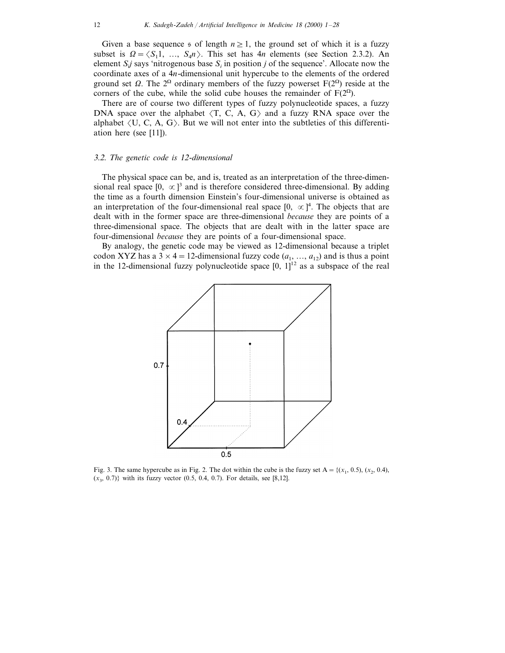Given a base sequence s of length  $n \geq 1$ , the ground set of which it is a fuzzy subset is  $\Omega = \langle S_11, \ldots, S_4n \rangle$ . This set has  $4n$  elements (see Section 2.3.2). An element  $S_i$  says 'nitrogenous base  $S_i$  in position *j* of the sequence'. Allocate now the coordinate axes of a 4*n*-dimensional unit hypercube to the elements of the ordered ground set  $\Omega$ . The  $2^{\Omega}$  ordinary members of the fuzzy powerset  $F(2^{\Omega})$  reside at the corners of the cube, while the solid cube houses the remainder of  $F(2^{\Omega})$ .

There are of course two different types of fuzzy polynucleotide spaces, a fuzzy DNA space over the alphabet  $\langle T, C, A, G \rangle$  and a fuzzy RNA space over the alphabet  $\langle U, C, A, G \rangle$ . But we will not enter into the subtleties of this differentiation here (see [11]).

#### 3.2. *The genetic code is* 12-*dimensional*

The physical space can be, and is, treated as an interpretation of the three-dimensional real space  $[0, \infty]^3$  and is therefore considered three-dimensional. By adding the time as a fourth dimension Einstein's four-dimensional universe is obtained as an interpretation of the four-dimensional real space  $[0, \infty]^4$ . The objects that are dealt with in the former space are three-dimensional *because* they are points of a three-dimensional space. The objects that are dealt with in the latter space are four-dimensional *because* they are points of a four-dimensional space.

By analogy, the genetic code may be viewed as 12-dimensional because a triplet codon XYZ has a  $3 \times 4 = 12$ -dimensional fuzzy code ( $a_1, ..., a_{12}$ ) and is thus a point in the 12-dimensional fuzzy polynucleotide space  $[0, 1]$ <sup>12</sup> as a subspace of the real



Fig. 3. The same hypercube as in Fig. 2. The dot within the cube is the fuzzy set  $A = \{(x_1, 0.5), (x_2, 0.4),$  $(x_3, 0.7)$ } with its fuzzy vector  $(0.5, 0.4, 0.7)$ . For details, see [8,12].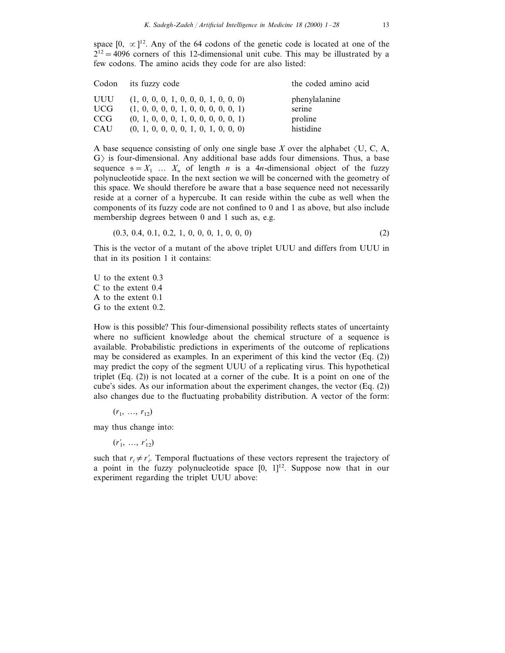space  $[0, \infty]^{12}$ . Any of the 64 codons of the genetic code is located at one of the  $2^{12} = 4096$  corners of this 12-dimensional unit cube. This may be illustrated by a few codons. The amino acids they code for are also listed:

|      | Codon its fuzzy code                 | the coded amino acid |
|------|--------------------------------------|----------------------|
| UUU  | (1, 0, 0, 0, 1, 0, 0, 0, 1, 0, 0, 0) | phenylalanine        |
| UCG. | (1, 0, 0, 0, 0, 1, 0, 0, 0, 0, 0, 1) | serine               |
| CCG  | (0, 1, 0, 0, 0, 1, 0, 0, 0, 0, 0, 1) | proline              |
| CAU  | (0, 1, 0, 0, 0, 0, 1, 0, 1, 0, 0, 0) | histidine            |

A base sequence consisting of only one single base X over the alphabet  $\langle U, C, A, \rangle$  $G$  is four-dimensional. Any additional base adds four dimensions. Thus, a base sequence  $s = X_1$  ...  $X_n$  of length *n* is a 4*n*-dimensional object of the fuzzy polynucleotide space. In the next section we will be concerned with the geometry of this space. We should therefore be aware that a base sequence need not necessarily reside at a corner of a hypercube. It can reside within the cube as well when the components of its fuzzy code are not confined to 0 and 1 as above, but also include membership degrees between 0 and 1 such as, e.g.

 $(0.3, 0.4, 0.1, 0.2, 1, 0, 0, 0, 1, 0, 0, 0)$  (2)

This is the vector of a mutant of the above triplet UUU and differs from UUU in that in its position 1 it contains:

U to the extent 0.3 C to the extent 0.4 A to the extent 0.1 G to the extent 0.2.

How is this possible? This four-dimensional possibility reflects states of uncertainty where no sufficient knowledge about the chemical structure of a sequence is available. Probabilistic predictions in experiments of the outcome of replications may be considered as examples. In an experiment of this kind the vector (Eq. (2)) may predict the copy of the segment UUU of a replicating virus. This hypothetical triplet (Eq. (2)) is not located at a corner of the cube. It is a point on one of the cube's sides. As our information about the experiment changes, the vector (Eq. (2)) also changes due to the fluctuating probability distribution. A vector of the form:

 $(r_1, \ldots, r_{12})$ 

may thus change into:

 $(r'_1, \ldots, r'_{12})$ 

such that  $r_i \neq r'_i$ . Temporal fluctuations of these vectors represent the trajectory of a point in the fuzzy polynucleotide space  $[0, 1]^{12}$ . Suppose now that in our experiment regarding the triplet UUU above: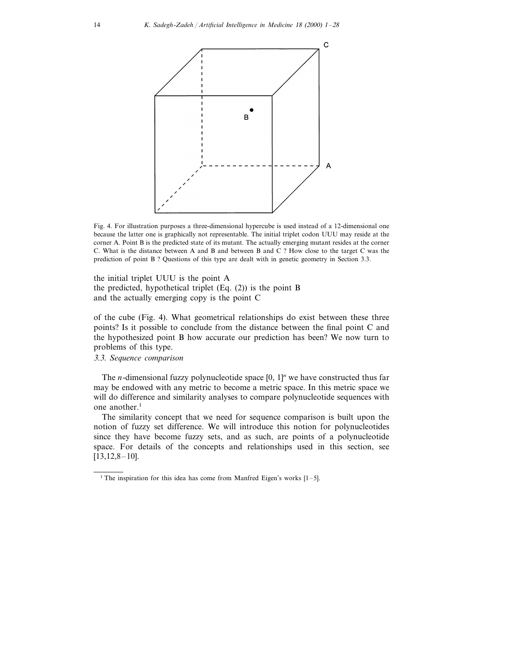

Fig. 4. For illustration purposes a three-dimensional hypercube is used instead of a 12-dimensional one because the latter one is graphically not representable. The initial triplet codon UUU may reside at the corner A. Point B is the predicted state of its mutant. The actually emerging mutant resides at the corner C. What is the distance between A and B and between B and C ? How close to the target C was the prediction of point B ? Questions of this type are dealt with in genetic geometry in Section 3.3.

the initial triplet UUU is the point A the predicted, hypothetical triplet (Eq. (2)) is the point B and the actually emerging copy is the point C

of the cube (Fig. 4). What geometrical relationships do exist between these three points? Is it possible to conclude from the distance between the final point C and the hypothesized point B how accurate our prediction has been? We now turn to problems of this type.

3.3. *Sequence comparison*

The *n*-dimensional fuzzy polynucleotide space  $[0, 1]^n$  we have constructed thus far may be endowed with any metric to become a metric space. In this metric space we will do difference and similarity analyses to compare polynucleotide sequences with one another.<sup>1</sup>

The similarity concept that we need for sequence comparison is built upon the notion of fuzzy set difference. We will introduce this notion for polynucleotides since they have become fuzzy sets, and as such, are points of a polynucleotide space. For details of the concepts and relationships used in this section, see [13,12,8–10].

<sup>&</sup>lt;sup>1</sup> The inspiration for this idea has come from Manfred Eigen's works  $[1-5]$ .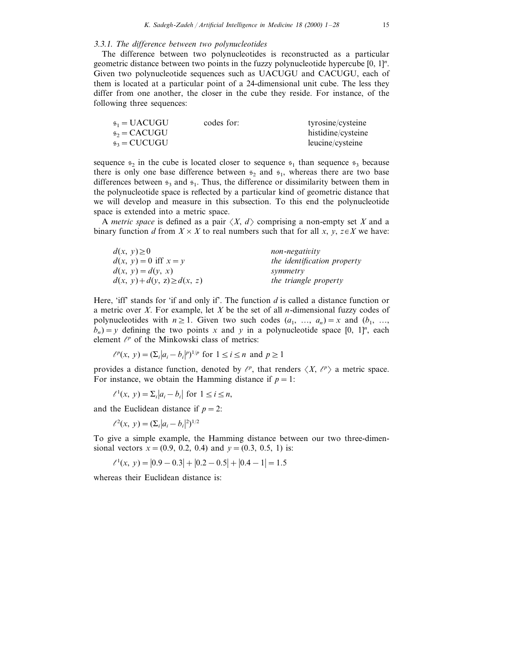## 3.3.1. *The difference between two polynucleotides*

The difference between two polynucleotides is reconstructed as a particular geometric distance between two points in the fuzzy polynucleotide hypercube [0, 1]*<sup>n</sup>* . Given two polynucleotide sequences such as UACUGU and CACUGU, each of them is located at a particular point of a 24-dimensional unit cube. The less they differ from one another, the closer in the cube they reside. For instance, of the following three sequences:

| $\mathfrak{s}_1 = \text{UACUGU}$ | codes for: | tyrosine/cysteine  |
|----------------------------------|------------|--------------------|
| $\mathfrak{s}_2 =$ CACUGU        |            | histidine/cysteine |
| $\mathfrak{s}_3 = \text{CUCUGU}$ |            | leucine/cysteine   |

sequence  $s_2$  in the cube is located closer to sequence  $s_1$  than sequence  $s_3$  because there is only one base difference between  $s_2$  and  $s_1$ , whereas there are two base differences between  $s_3$  and  $s_1$ . Thus, the difference or dissimilarity between them in the polynucleotide space is reflected by a particular kind of geometric distance that we will develop and measure in this subsection. To this end the polynucleotide space is extended into a metric space.

A *metric space* is defined as a pair  $\langle X, d \rangle$  comprising a non-empty set X and a binary function *d* from  $X \times X$  to real numbers such that for all  $x, y, z \in X$  we have:

| $d(x, y) \geq 0$                 | non-negativity              |
|----------------------------------|-----------------------------|
| $d(x, y) = 0$ iff $x = y$        | the identification property |
| $d(x, y) = d(y, x)$              | symmetry                    |
| $d(x, y) + d(y, z) \geq d(x, z)$ | the triangle property       |

Here, 'iff' stands for 'if and only if'. The function *d* is called a distance function or a metric over *X*. For example, let *X* be the set of all *n*-dimensional fuzzy codes of polynucleotides with  $n \ge 1$ . Given two such codes  $(a_1, ..., a_n) = x$  and  $(b_1, ..., b_n)$  $b_n$ ) = *y* defining the two points *x* and *y* in a polynucleotide space [0, 1]<sup>*n*</sup>, each element  $\ell^p$  of the Minkowski class of metrics:

$$
\ell^p(x, y) = \left(\sum_i |a_i - b_i|^p\right)^{1/p} \text{ for } 1 \le i \le n \text{ and } p \ge 1
$$

provides a distance function, denoted by  $\ell^p$ , that renders  $\langle X, \ell^p \rangle$  a metric space. For instance, we obtain the Hamming distance if  $p=1$ :

$$
\ell^1(x, y) = \sum_i |a_i - b_i| \text{ for } 1 \le i \le n,
$$

and the Euclidean distance if  $p=2$ :

$$
\ell^2(x, y) = (\Sigma_i |a_i - b_i|^2)^{1/2}
$$

To give a simple example, the Hamming distance between our two three-dimensional vectors  $x = (0.9, 0.2, 0.4)$  and  $y = (0.3, 0.5, 1)$  is:

$$
\ell^1(x, y) = |0.9 - 0.3| + |0.2 - 0.5| + |0.4 - 1| = 1.5
$$

whereas their Euclidean distance is: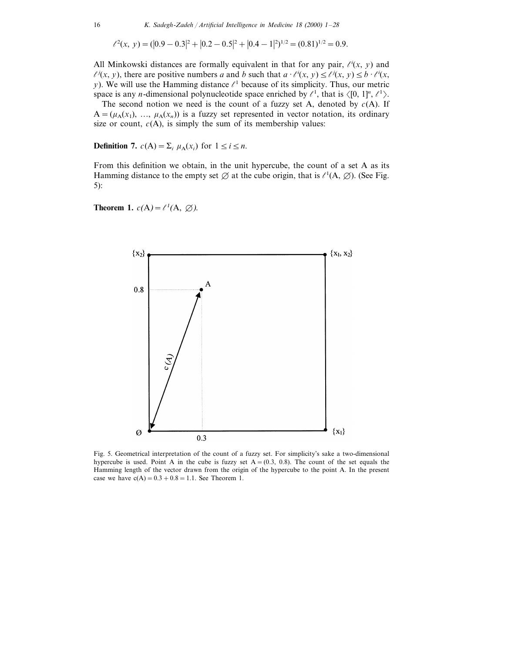$$
\ell^2(x, y) = (|0.9 - 0.3|^2 + |0.2 - 0.5|^2 + |0.4 - 1|^2)^{1/2} = (0.81)^{1/2} = 0.9.
$$

All Minkowski distances are formally equivalent in that for any pair,  $\ell^{i}(x, y)$  and  $l^{j}(x, y)$ , there are positive numbers *a* and *b* such that  $a^{j}$  ·  $l^{j}(x, y) \leq l^{j}(x, y) \leq b^{j}(x, y)$ *y*). We will use the Hamming distance  $\ell^1$  because of its simplicity. Thus, our metric space is any *n*-dimensional polynucleotide space enriched by  $\ell^1$ , that is  $\langle [0, 1]^n, \ell^1 \rangle$ .

The second notion we need is the count of a fuzzy set A, denoted by *c*(A). If  $A=(\mu_{A}(x_{1}), \ldots, \mu_{A}(x_{n}))$  is a fuzzy set represented in vector notation, its ordinary size or count,  $c(A)$ , is simply the sum of its membership values:

**Definition 7.**  $c(A) = \sum_i \mu_A(x_i)$  for  $1 \le i \le n$ .

From this definition we obtain, in the unit hypercube, the count of a set A as its Hamming distance to the empty set  $\emptyset$  at the cube origin, that is  $\ell^1(A, \emptyset)$ . (See Fig. 5):

**Theorem 1.**  $c(A) = \ell^1(A, \emptyset)$ .



Fig. 5. Geometrical interpretation of the count of a fuzzy set. For simplicity's sake a two-dimensional hypercube is used. Point A in the cube is fuzzy set  $A = (0.3, 0.8)$ . The count of the set equals the Hamming length of the vector drawn from the origin of the hypercube to the point A. In the present case we have  $c(A) = 0.3 + 0.8 = 1.1$ . See Theorem 1.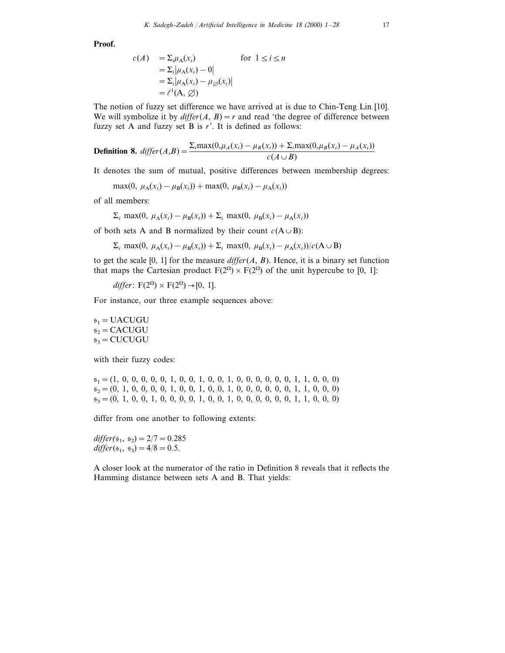**Proof.**

$$
c(A) = \sum_{i} \mu_{A}(x_{i}) \quad \text{for } 1 \leq i \leq n
$$
  
=  $\sum_{i} |\mu_{A}(x_{i}) - 0|$   
=  $\sum_{i} |\mu_{A}(x_{i}) - \mu_{\varnothing}(x_{i})|$   
=  $\ell^{1}(A, \varnothing)$ 

The notion of fuzzy set difference we have arrived at is due to Chin-Teng Lin [10]. We will symbolize it by  $differ(A, B) = r$  and read 'the degree of difference between fuzzy set A and fuzzy set B is *r*'. It is defined as follows:

**Definition 8.** 
$$
differ(A,B) = \frac{\sum_{i} \max(0, \mu_A(x_i) - \mu_B(x_i)) + \sum_{i} \max(0, \mu_B(x_i) - \mu_A(x_i))}{c(A \cup B)}
$$

It denotes the sum of mutual, positive differences between membership degrees:

$$
\max(0, \ \mu_{A}(x_i) - \mu_{B}(x_i)) + \max(0, \ \mu_{B}(x_i) - \mu_{A}(x_i))
$$

of all members:

$$
\Sigma_i
$$
 max(0,  $\mu_A(x_i) - \mu_B(x_i)) + \Sigma_i$  max(0,  $\mu_B(x_i) - \mu_A(x_i))$ 

of both sets A and B normalized by their count  $c(A \cup B)$ :

 $\Sigma_i$  max(0, μ<sub>A</sub>(*x<sub>i</sub>*)−μ<sub>B</sub>(*x<sub>i</sub>*)) +  $\Sigma_i$  max(0, μ<sub>B</sub>(*x<sub>i</sub>*)−μ<sub>A</sub>(*x<sub>i</sub>*))/*c*(A∪B)

to get the scale [0, 1] for the measure  $differ(A, B)$ . Hence, it is a binary set function that maps the Cartesian product  $F(2^{\Omega}) \times F(2^{\Omega})$  of the unit hypercube to [0, 1]:

 $differ: F(2^{\Omega}) \times F(2^{\Omega}) \rightarrow [0, 1].$ 

For instance, our three example sequences above:

$$
s_1 = \text{UACUGU}
$$
  
\n
$$
s_2 = \text{CACUGU}
$$
  
\n
$$
s_3 = \text{CUCUGU}
$$

with their fuzzy codes:

 $s_1=(1, 0, 0, 0, 0, 0, 1, 0, 0, 1, 0, 0, 1, 0, 0, 0, 0, 0, 0, 1, 1, 0, 0, 0)$  $s_2=(0, 1, 0, 0, 0, 0, 1, 0, 0, 1, 0, 0, 1, 0, 0, 0, 0, 0, 0, 1, 1, 0, 0, 0)$  $s_3=(0, 1, 0, 0, 1, 0, 0, 0, 0, 1, 0, 0, 1, 0, 0, 0, 0, 0, 0, 1, 1, 0, 0, 0)$ 

differ from one another to following extents:

 $differ(s_1, s_2)=2/7=0.285$  $differ(\mathfrak{s}_1, \mathfrak{s}_3)=4/8=0.5.$ 

A closer look at the numerator of the ratio in Definition 8 reveals that it reflects the Hamming distance between sets A and B. That yields: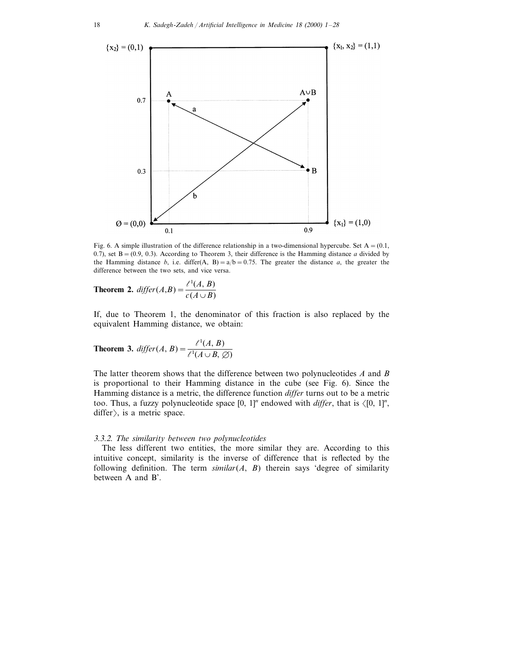

Fig. 6. A simple illustration of the difference relationship in a two-dimensional hypercube. Set  $A=(0.1,$ 0.7), set  $B = (0.9, 0.3)$ . According to Theorem 3, their difference is the Hamming distance *a* divided by the Hamming distance *b*, i.e. differ(A, B) =  $a/b = 0.75$ . The greater the distance *a*, the greater the difference between the two sets, and vice versa.

**Theorem 2.** 
$$
differ(A,B) = \frac{\ell^1(A,B)}{c(A \cup B)}
$$

If, due to Theorem 1, the denominator of this fraction is also replaced by the equivalent Hamming distance, we obtain:

**Theorem 3.** 
$$
differ(A, B) = \frac{\ell^1(A, B)}{\ell^1(A \cup B, \emptyset)}
$$

The latter theorem shows that the difference between two polynucleotides *A* and *B* is proportional to their Hamming distance in the cube (see Fig. 6). Since the Hamming distance is a metric, the difference function *differ* turns out to be a metric too. Thus, a fuzzy polynucleotide space  $[0, 1]^n$  endowed with *differ*, that is  $\langle [0, 1]^n,$  $differ$ , is a metric space.

#### 3.3.2. *The similarity between two polynucleotides*

The less different two entities, the more similar they are. According to this intuitive concept, similarity is the inverse of difference that is reflected by the following definition. The term  $\text{similar}(A, B)$  therein says 'degree of similarity between A and B'.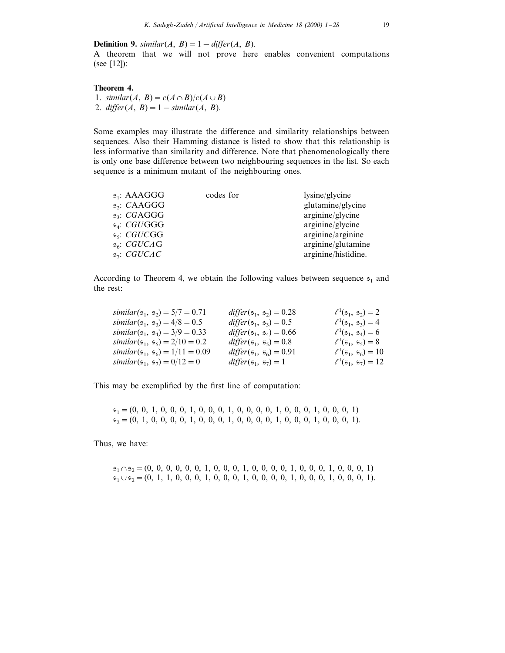**Definition 9.** *similar*(*A*, *B*)=1−*differ*(*A*, *B*).

A theorem that we will not prove here enables convenient computations (see [12]):

## **Theorem 4.**

1. *similar*( $A$ ,  $B$ ) =  $c(A \cap B)/c(A \cup B)$ 2.  $\text{differ}(A, B) = 1 - \text{similar}(A, B).$ 

Some examples may illustrate the difference and similarity relationships between sequences. Also their Hamming distance is listed to show that this relationship is less informative than similarity and difference. Note that phenomenologically there is only one base difference between two neighbouring sequences in the list. So each sequence is a minimum mutant of the neighbouring ones.

| $\mathfrak{s}_1$ : AAAGGG   | codes for | lysine/glycine      |
|-----------------------------|-----------|---------------------|
| $5,$ : $CAGGG$              |           | glutamine/glycine   |
| 53: CGAGGG                  |           | arginine/glycine    |
| $54$ : $CGUGGG$             |           | arginine/glycine    |
| $\mathfrak{s}_5$ : $CGUCGG$ |           | arginine/arginine   |
| $56$ : CGUCAG               |           | arginine/glutamine  |
| $\mathfrak{s}_7$ : CGUCAC   |           | arginine/histidine. |
|                             |           |                     |

According to Theorem 4, we obtain the following values between sequence  $s_1$  and the rest:

| similar( $\mathfrak{s}_1, \mathfrak{s}_2$ ) = 5/7 = 0.71    | $differ(s_1, s_2) = 0.28$  | $\ell^1(\mathfrak{s}_1, \mathfrak{s}_2) = 2$  |
|-------------------------------------------------------------|----------------------------|-----------------------------------------------|
| similar( $\mathfrak{s}_1, \mathfrak{s}_3$ ) = 4/8 = 0.5     | differ $(s_1, s_3) = 0.5$  | $\ell^1(\mathfrak{s}_1,\mathfrak{s}_3)=4$     |
| similar( $\mathfrak{s}_1$ , $\mathfrak{s}_4$ ) = 3/9 = 0.33 | $differ(s_1, s_4) = 0.66$  | $\ell^1(\mathfrak{s}_1, \mathfrak{s}_4) = 6$  |
| similar( $\mathfrak{s}_1, \mathfrak{s}_5$ ) = 2/10 = 0.2    | $differ(s_1, s_5) = 0.8$   | $\ell^1(\mathfrak{s}_1, \mathfrak{s}_5) = 8$  |
| similar( $\mathfrak{s}_1, \mathfrak{s}_6$ ) = 1/11 = 0.09   | differ $(s_1, s_6) = 0.91$ | $\ell^1(\mathfrak{s}_1, \mathfrak{s}_6) = 10$ |
| similar( $\mathfrak{s}_1, \mathfrak{s}_7$ ) = 0/12 = 0      | $differ(s_1, s_7) = 1$     | $\ell^1(\mathfrak{s}_1,\mathfrak{s}_7)=12$    |

This may be exemplified by the first line of computation:

 $\mathfrak{s}_1=(0, \ 0, \ 1, \ 0, \ 0, \ 1, \ 0, \ 0, \ 1, \ 0, \ 0, \ 0, \ 1, \ 0, \ 0, \ 0, \ 0, \ 1, \ 0, \ 0, \ 0, \ 1, \ 0, \ 0, \ 0, \ 1)$  $s_2=(0, 1, 0, 0, 0, 0, 1, 0, 0, 0, 1, 0, 0, 0, 0, 1, 0, 0, 0, 1, 0, 0, 0, 1).$ 

Thus, we have:

 ${\mathfrak s}_1 \cap {\mathfrak s}_2 = (0, \ 0, \ 0, \ 0, \ 0, \ 0, \ 1, \ 0, \ 0, \ 0, \ 1, \ 0, \ 0, \ 0, \ 0, \ 1, \ 0, \ 0, \ 0, \ 1, \ 0, \ 0, \ 0, \ 1)$  $s_1 \cup s_2 = (0, 1, 1, 0, 0, 0, 1, 0, 0, 0, 1, 0, 0, 0, 1, 0, 0, 0, 1, 0, 0, 0, 1).$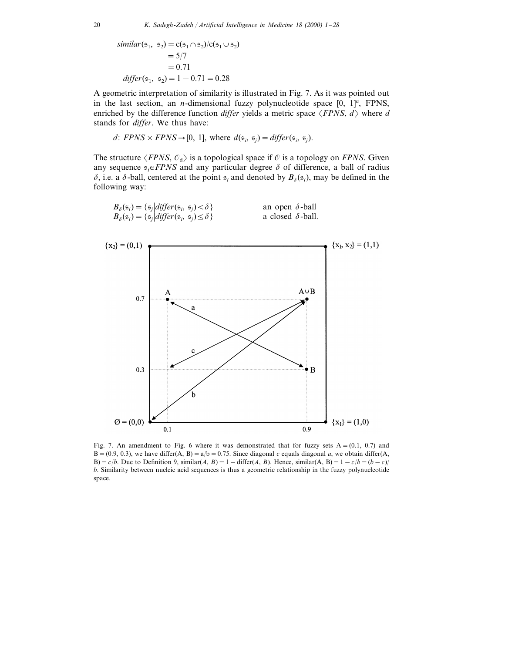similar(s<sub>1</sub>, s<sub>2</sub>) = c(s<sub>1</sub> 
$$
\cap
$$
 s<sub>2</sub>)/c(s<sub>1</sub>  $\cup$  s<sub>2</sub>)  
= 5/7  
= 0.71  
differ(s<sub>1</sub>, s<sub>2</sub>) = 1 - 0.71 = 0.28

A geometric interpretation of similarity is illustrated in Fig. 7. As it was pointed out in the last section, an *n*-dimensional fuzzy polynucleotide space  $[0, 1]^n$ , FPNS, enriched by the difference function *differ* yields a metric space  $\langle FPNS, d \rangle$  where *d* stands for *differ*. We thus have:

d: 
$$
FPNS \times FPNS \rightarrow [0, 1]
$$
, where  $d(\mathfrak{s}_i, \mathfrak{s}_j) = \text{differ}(\mathfrak{s}_i, \mathfrak{s}_j)$ .

The structure  $\langle FPNS, \mathcal{O}_d \rangle$  is a topological space if  $\mathcal O$  is a topology on *FPNS*. Given any sequence  $\mathfrak{s}_i \in FPNS$  and any particular degree  $\delta$  of difference, a ball of radius  $\delta$ , i.e. a  $\delta$ -ball, centered at the point  $\mathfrak{s}_i$  and denoted by  $B_\delta(\mathfrak{s}_i)$ , may be defined in the following way:



Fig. 7. An amendment to Fig. 6 where it was demonstrated that for fuzzy sets  $A = (0.1, 0.7)$  and  $B=(0.9, 0.3)$ , we have differ(A, B) = a/b = 0.75. Since diagonal *c* equals diagonal *a*, we obtain differ(A, B) = *c*/*b*. Due to Definition 9, similar(*A*, *B*) = 1 − differ(*A*, *B*). Hence, similar(*A*, B) = 1 − *c*/*b* = (*b* − *c*)/ *b*. Similarity between nucleic acid sequences is thus a geometric relationship in the fuzzy polynucleotide space.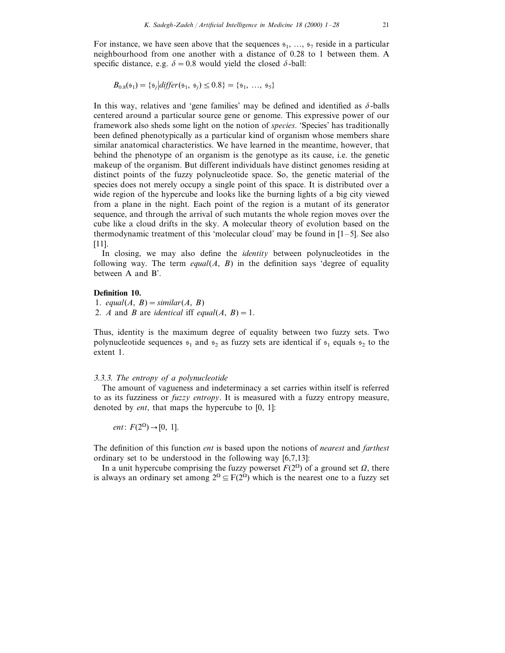For instance, we have seen above that the sequences  $s_1, ..., s_7$  reside in a particular neighbourhood from one another with a distance of 0.28 to 1 between them. A specific distance, e.g.  $\delta = 0.8$  would yield the closed  $\delta$ -ball:

$$
B_{0.8}(\mathfrak{s}_1) = \{\mathfrak{s}_j | \text{differ}(\mathfrak{s}_1, \mathfrak{s}_j) \le 0.8\} = \{\mathfrak{s}_1, \dots, \mathfrak{s}_5\}
$$

In this way, relatives and 'gene families' may be defined and identified as  $\delta$ -balls centered around a particular source gene or genome. This expressive power of our framework also sheds some light on the notion of *species*. 'Species' has traditionally been defined phenotypically as a particular kind of organism whose members share similar anatomical characteristics. We have learned in the meantime, however, that behind the phenotype of an organism is the genotype as its cause, i.e. the genetic makeup of the organism. But different individuals have distinct genomes residing at distinct points of the fuzzy polynucleotide space. So, the genetic material of the species does not merely occupy a single point of this space. It is distributed over a wide region of the hypercube and looks like the burning lights of a big city viewed from a plane in the night. Each point of the region is a mutant of its generator sequence, and through the arrival of such mutants the whole region moves over the cube like a cloud drifts in the sky. A molecular theory of evolution based on the thermodynamic treatment of this 'molecular cloud' may be found in  $[1-5]$ . See also [11].

In closing, we may also define the *identity* between polynucleotides in the following way. The term  $equal(A, B)$  in the definition says 'degree of equality between A and B'.

#### **Definition 10.**

1. *equal* $(A, B) =$ *similar* $(A, B)$ 2. *A* and *B* are *identical* iff *equal* $(A, B) = 1$ .

Thus, identity is the maximum degree of equality between two fuzzy sets. Two polynucleotide sequences  $s_1$  and  $s_2$  as fuzzy sets are identical if  $s_1$  equals  $s_2$  to the extent 1.

#### 3.3.3. *The entropy of a polynucleotide*

The amount of vagueness and indeterminacy a set carries within itself is referred to as its fuzziness or *fuzzy entropy*. It is measured with a fuzzy entropy measure, denoted by *ent*, that maps the hypercube to [0, 1]:

*ent*:  $F(2^{\Omega}) \rightarrow [0, 1]$ .

The definition of this function *ent* is based upon the notions of *nearest* and *farthest* ordinary set to be understood in the following way [6,7,13]:

In a unit hypercube comprising the fuzzy powerset  $F(2^{\Omega})$  of a ground set  $\Omega$ , there is always an ordinary set among  $2^{\Omega} \subseteq F(2^{\Omega})$  which is the nearest one to a fuzzy set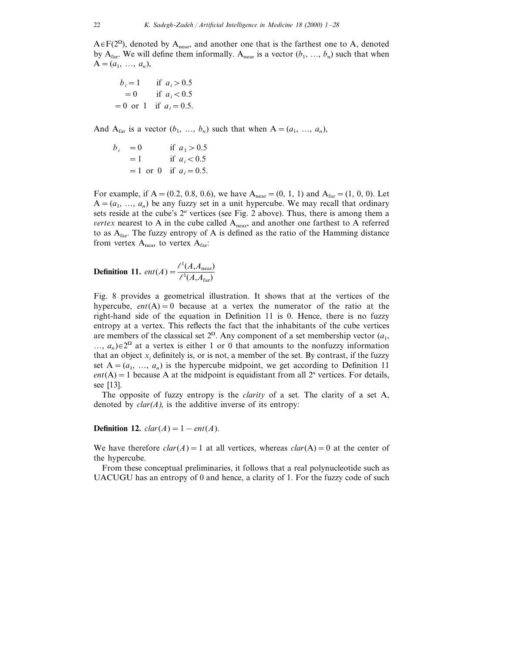$A \in F(2^{\Omega})$ , denoted by  $A_{near}$ , and another one that is the farthest one to A, denoted by  $A_{\text{far}}$ . We will define them informally.  $A_{\text{near}}$  is a vector  $(b_1, ..., b_n)$  such that when  $A=(a_1, ..., a_n),$ 

$$
b_i = 1
$$
 if  $a_i > 0.5$   
= 0 if  $a_i < 0.5$   
= 0 or 1 if  $a_i = 0.5$ .

And  $A_{far}$  is a vector  $(b_1, ..., b_n)$  such that when  $A = (a_1, ..., a_n)$ ,

 $b_i = 0$  $=1$  $= 1$  or 0 if  $a_i = 0.5$ . if  $a_1 > 0.5$ if  $a_i < 0.5$ 

For example, if A = (0.2, 0.8, 0.6), we have  $A_{near}$  = (0, 1, 1) and  $A_{far}$  = (1, 0, 0). Let  $A=(a_1, \ldots, a_n)$  be any fuzzy set in a unit hypercube. We may recall that ordinary sets reside at the cube's 2*<sup>n</sup>* vertices (see Fig. 2 above). Thus, there is among them a *vertex* nearest to A in the cube called  $A_{near}$ , and another one farthest to A referred to as  $A_{far}$ . The fuzzy entropy of A is defined as the ratio of the Hamming distance from vertex  $A_{near}$  to vertex  $A_{far}$ :

**Definition 11.**  $ent(A) = \frac{\ell^1(A, A_{\text{near}})}{\ell^1(A, A_{\text{near}})}$  $\ell^1(A,A_{\text{far}})$ 

Fig. 8 provides a geometrical illustration. It shows that at the vertices of the hypercube,  $ent(A) = 0$  because at a vertex the numerator of the ratio at the right-hand side of the equation in Definition 11 is 0. Hence, there is no fuzzy entropy at a vertex. This reflects the fact that the inhabitants of the cube vertices are members of the classical set  $2^{\Omega}$ . Any component of a set membership vector  $(a_1, a_2)$  $..., a_n$ ) $\in 2^{\Omega}$  at a vertex is either 1 or 0 that amounts to the nonfuzzy information that an object  $x_i$ , definitely is, or is not, a member of the set. By contrast, if the fuzzy set  $A=(a_1, ..., a_n)$  is the hypercube midpoint, we get according to Definition 11  $ent(A) = 1$  because A at the midpoint is equidistant from all  $2^n$  vertices. For details, see [13].

The opposite of fuzzy entropy is the *clarity* of a set. The clarity of a set A, denoted by  $clar(A)$ , is the additive inverse of its entropy:

**Definition 12.**  $clar(A) = 1 - ent(A)$ .

We have therefore  $char(A) = 1$  at all vertices, whereas  $char(A) = 0$  at the center of the hypercube.

From these conceptual preliminaries, it follows that a real polynucleotide such as UACUGU has an entropy of 0 and hence, a clarity of 1. For the fuzzy code of such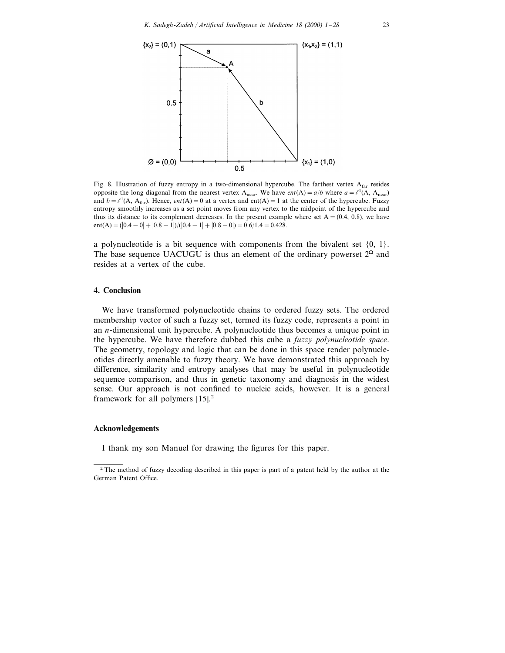

Fig. 8. Illustration of fuzzy entropy in a two-dimensional hypercube. The farthest vertex  $A<sub>far</sub>$  resides opposite the long diagonal from the nearest vertex  $A_{near}$ . We have  $ent(A) = a/b$  where  $a = l<sup>1</sup>(A, A_{near})$ and  $b = \ell^1(A, A_{far})$ . Hence,  $ent(A) = 0$  at a vertex and ent $(A) = 1$  at the center of the hypercube. Fuzzy entropy smoothly increases as a set point moves from any vertex to the midpoint of the hypercube and thus its distance to its complement decreases. In the present example where set  $A=(0.4, 0.8)$ , we have  $ent(A) = (0.4 - 0 + (0.8 - 1) / ((0.4 - 1) + (0.8 - 0)) = 0.6/1.4 = 0.428.$ 

a polynucleotide is a bit sequence with components from the bivalent set  $\{0, 1\}$ . The base sequence UACUGU is thus an element of the ordinary powerset  $2^{\Omega}$  and resides at a vertex of the cube.

#### **4. Conclusion**

We have transformed polynucleotide chains to ordered fuzzy sets. The ordered membership vector of such a fuzzy set, termed its fuzzy code, represents a point in an *n*-dimensional unit hypercube. A polynucleotide thus becomes a unique point in the hypercube. We have therefore dubbed this cube a *fuzzy polynucleotide space*. The geometry, topology and logic that can be done in this space render polynucleotides directly amenable to fuzzy theory. We have demonstrated this approach by difference, similarity and entropy analyses that may be useful in polynucleotide sequence comparison, and thus in genetic taxonomy and diagnosis in the widest sense. Our approach is not confined to nucleic acids, however. It is a general framework for all polymers  $[15]$ <sup>2</sup>

#### **Acknowledgements**

I thank my son Manuel for drawing the figures for this paper.

<sup>2</sup> The method of fuzzy decoding described in this paper is part of a patent held by the author at the German Patent Office.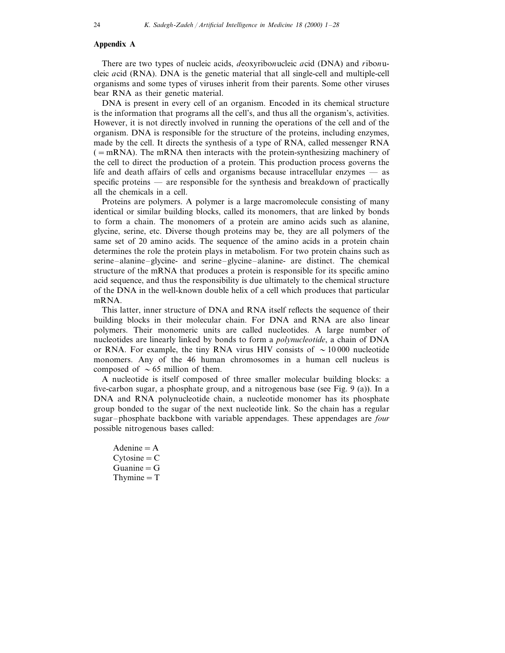#### **Appendix A**

There are two types of nucleic acids, *d*eoxyribo*n*ucleic *a*cid (DNA) and *r*ibo*n*ucleic *a*cid (RNA). DNA is the genetic material that all single-cell and multiple-cell organisms and some types of viruses inherit from their parents. Some other viruses bear RNA as their genetic material.

DNA is present in every cell of an organism. Encoded in its chemical structure is the information that programs all the cell's, and thus all the organism's, activities. However, it is not directly involved in running the operations of the cell and of the organism. DNA is responsible for the structure of the proteins, including enzymes, made by the cell. It directs the synthesis of a type of RNA, called messenger RNA  $(=mRNA)$ . The mRNA then interacts with the protein-synthesizing machinery of the cell to direct the production of a protein. This production process governs the life and death affairs of cells and organisms because intracellular enzymes — as specific proteins — are responsible for the synthesis and breakdown of practically all the chemicals in a cell.

Proteins are polymers. A polymer is a large macromolecule consisting of many identical or similar building blocks, called its monomers, that are linked by bonds to form a chain. The monomers of a protein are amino acids such as alanine, glycine, serine, etc. Diverse though proteins may be, they are all polymers of the same set of 20 amino acids. The sequence of the amino acids in a protein chain determines the role the protein plays in metabolism. For two protein chains such as serine–alanine–glycine- and serine–glycine–alanine- are distinct. The chemical structure of the mRNA that produces a protein is responsible for its specific amino acid sequence, and thus the responsibility is due ultimately to the chemical structure of the DNA in the well-known double helix of a cell which produces that particular mRNA.

This latter, inner structure of DNA and RNA itself reflects the sequence of their building blocks in their molecular chain. For DNA and RNA are also linear polymers. Their monomeric units are called nucleotides. A large number of nucleotides are linearly linked by bonds to form a *polynucleotide*, a chain of DNA or RNA. For example, the tiny RNA virus HIV consists of  $\sim 10000$  nucleotide monomers. Any of the 46 human chromosomes in a human cell nucleus is composed of  $\sim 65$  million of them.

A nucleotide is itself composed of three smaller molecular building blocks: a five-carbon sugar, a phosphate group, and a nitrogenous base (see Fig. 9 (a)). In a DNA and RNA polynucleotide chain, a nucleotide monomer has its phosphate group bonded to the sugar of the next nucleotide link. So the chain has a regular sugar–phosphate backbone with variable appendages. These appendages are *four* possible nitrogenous bases called:

 $Adenine=A$  $Cvtosine = C$  $Guanine = G$ Thymine  $=T$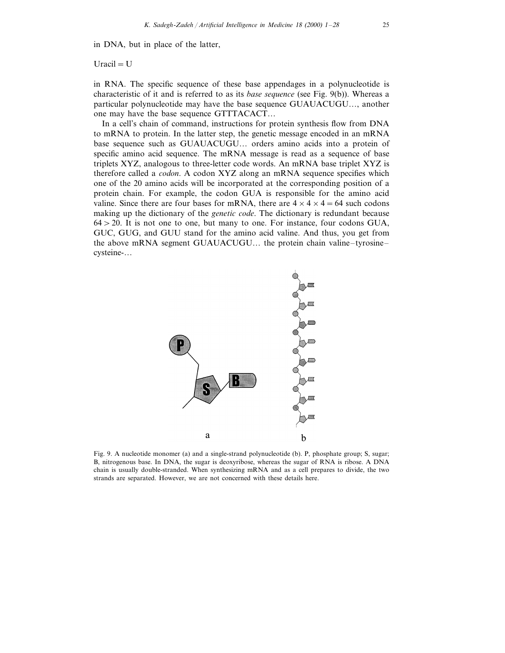in DNA, but in place of the latter,

 $U$ racil =  $U$ 

in RNA. The specific sequence of these base appendages in a polynucleotide is characteristic of it and is referred to as its *base sequence* (see Fig. 9(b)). Whereas a particular polynucleotide may have the base sequence GUAUACUGU…, another one may have the base sequence GTTTACACT…

In a cell's chain of command, instructions for protein synthesis flow from DNA to mRNA to protein. In the latter step, the genetic message encoded in an mRNA base sequence such as GUAUACUGU… orders amino acids into a protein of specific amino acid sequence. The mRNA message is read as a sequence of base triplets XYZ, analogous to three-letter code words. An mRNA base triplet XYZ is therefore called a *codon*. A codon XYZ along an mRNA sequence specifies which one of the 20 amino acids will be incorporated at the corresponding position of a protein chain. For example, the codon GUA is responsible for the amino acid valine. Since there are four bases for mRNA, there are  $4 \times 4 \times 4 = 64$  such codons making up the dictionary of the *genetic code*. The dictionary is redundant because  $64 > 20$ . It is not one to one, but many to one. For instance, four codons GUA, GUC, GUG, and GUU stand for the amino acid valine. And thus, you get from the above mRNA segment GUAUACUGU… the protein chain valine–tyrosine– cysteine-…



Fig. 9. A nucleotide monomer (a) and a single-strand polynucleotide (b). P, phosphate group; S, sugar; B, nitrogenous base. In DNA, the sugar is deoxyribose, whereas the sugar of RNA is ribose. A DNA chain is usually double-stranded. When synthesizing mRNA and as a cell prepares to divide, the two strands are separated. However, we are not concerned with these details here.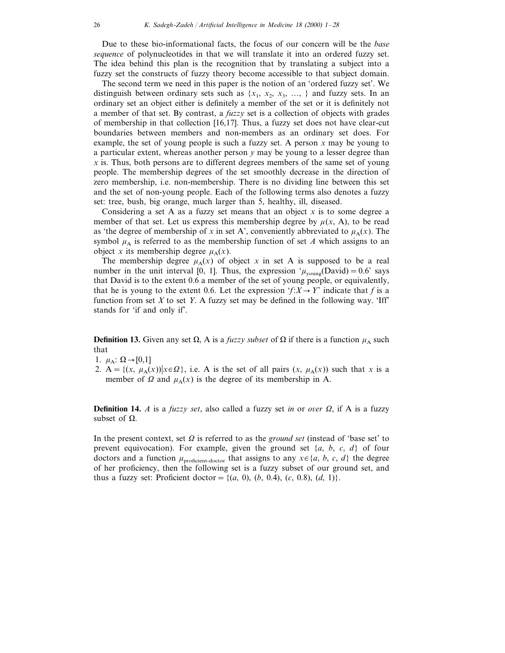Due to these bio-informational facts, the focus of our concern will be the *base sequence* of polynucleotides in that we will translate it into an ordered fuzzy set. The idea behind this plan is the recognition that by translating a subject into a fuzzy set the constructs of fuzzy theory become accessible to that subject domain.

The second term we need in this paper is the notion of an 'ordered fuzzy set'. We distinguish between ordinary sets such as  $\{x_1, x_2, x_3, \ldots\}$  and fuzzy sets. In an ordinary set an object either is definitely a member of the set or it is definitely not a member of that set. By contrast, a *fuzzy* set is a collection of objects with grades of membership in that collection [16,17]. Thus, a fuzzy set does not have clear-cut boundaries between members and non-members as an ordinary set does. For example, the set of young people is such a fuzzy set. A person *x* may be young to a particular extent, whereas another person  $\gamma$  may be young to a lesser degree than *x* is. Thus, both persons are to different degrees members of the same set of young people. The membership degrees of the set smoothly decrease in the direction of zero membership, i.e. non-membership. There is no dividing line between this set and the set of non-young people. Each of the following terms also denotes a fuzzy set: tree, bush, big orange, much larger than 5, healthy, ill, diseased.

Considering a set A as a fuzzy set means that an object *x* is to some degree a member of that set. Let us express this membership degree by  $\mu(x, A)$ , to be read as 'the degree of membership of *x* in set A', conveniently abbreviated to  $\mu_{\alpha}(x)$ . The symbol  $\mu_A$  is referred to as the membership function of set *A* which assigns to an object *x* its membership degree  $\mu_A(x)$ .

The membership degree  $\mu_A(x)$  of object x in set A is supposed to be a real number in the unit interval [0, 1]. Thus, the expression ' $\mu_{\text{vouno}}(David) = 0.6'$  says that David is to the extent 0.6 a member of the set of young people, or equivalently, that he is young to the extent 0.6. Let the expression  $f: X \to Y'$  indicate that *f* is a function from set *X* to set *Y*. A fuzzy set may be defined in the following way. 'Iff' stands for 'if and only if'.

**Definition 13.** Given any set  $\Omega$ , A is a *fuzzy subset* of  $\Omega$  if there is a function  $\mu_A$  such that

- 1.  $\mu_A$ :  $\Omega \rightarrow [0,1]$
- 2.  $A = \{(x, \mu_A(x)) | x \in \Omega \}$ , i.e. A is the set of all pairs  $(x, \mu_A(x))$  such that *x* is a member of  $\Omega$  and  $\mu_A(x)$  is the degree of its membership in A.

**Definition 14.** *A* is a *fuzzy set*, also called a fuzzy set *in* or *over*  $\Omega$ , if A is a fuzzy subset of  $\Omega$ .

In the present context, set  $\Omega$  is referred to as the *ground set* (instead of 'base set' to prevent equivocation). For example, given the ground set {*a*, *b*, *c*, *d*} of four doctors and a function  $\mu_{\text{proficient-dotor}}$  that assigns to any  $x \in \{a, b, c, d\}$  the degree of her proficiency, then the following set is a fuzzy subset of our ground set, and thus a fuzzy set: Proficient doctor =  $\{(a, 0), (b, 0.4), (c, 0.8), (d, 1)\}.$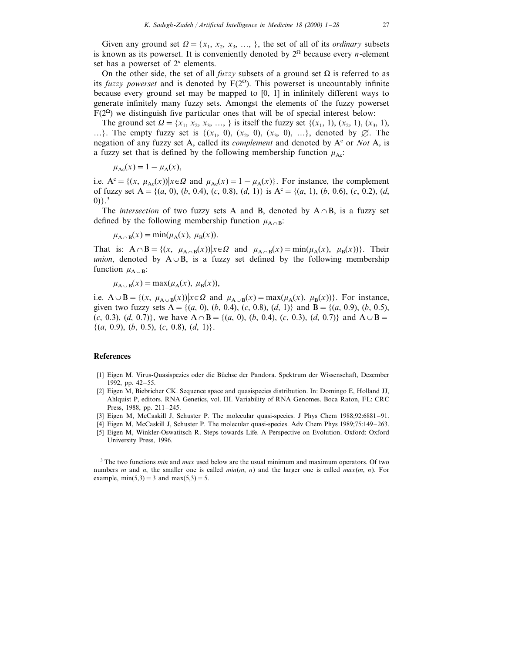Given any ground set  $\Omega = \{x_1, x_2, x_3, \ldots\}$ , the set of all of its *ordinary* subsets is known as its powerset. It is conveniently denoted by  $2^{\Omega}$  because every *n*-element set has a powerset of 2*<sup>n</sup>* elements.

On the other side, the set of all *fuzzy* subsets of a ground set  $\Omega$  is referred to as its *fuzzy powerset* and is denoted by  $F(2^{\Omega})$ . This powerset is uncountably infinite because every ground set may be mapped to [0, 1] in infinitely different ways to generate infinitely many fuzzy sets. Amongst the elements of the fuzzy powerset  $F(2^{\Omega})$  we distinguish five particular ones that will be of special interest below:

The ground set  $\Omega = \{x_1, x_2, x_3, ..., \}$  is itself the fuzzy set  $\{(x_1, 1), (x_2, 1), (x_3, 1),$ ...}. The empty fuzzy set is  $\{(x_1, 0), (x_2, 0), (x_3, 0), ...\}$ , denoted by  $\emptyset$ . The negation of any fuzzy set A, called its *complement* and denoted by A<sup>c</sup> or *Not* A, is a fuzzy set that is defined by the following membership function  $\mu_{\text{AC}}$ :

$$
\mu_{\rm Ac}(x) = 1 - \mu_{\rm A}(x),
$$

i.e.  $A<sup>c</sup> = \{(x, \mu_{Ac}(x)) | x \in \Omega \text{ and } \mu_{Ac}(x) = 1 - \mu_A(x) \}.$  For instance, the complement of fuzzy set  $A = \{(a, 0), (b, 0.4), (c, 0.8), (d, 1)\}\$ is  $A<sup>c</sup> = \{(a, 1), (b, 0.6), (c, 0.2), (d, 1)\}$  $(0)$ } $3$ 

The *intersection* of two fuzzy sets A and B, denoted by  $A \cap B$ , is a fuzzy set defined by the following membership function  $\mu_{A\cap B}$ :

 $\mu_{A \cap B}(x) = \min(\mu_A(x), \mu_B(x)).$ 

That is:  $A \cap B = \{(x, \mu_{A \cap B}(x)) | x \in \Omega \text{ and } \mu_{A \cap B}(x) = \min(\mu_A(x), \mu_B(x))\}.$  Their *union*, denoted by  $A \cup B$ , is a fuzzy set defined by the following membership function  $\mu_{A\cup B}$ :

 $\mu_{A\cup B}(x) = \max(\mu_A(x), \mu_B(x)),$ 

i.e.  $A \cup B = \{(x, \mu_{A \cup B}(x)) | x \in \Omega \text{ and } \mu_{A \cup B}(x) = \max(\mu_A(x), \mu_B(x))\}.$  For instance, given two fuzzy sets  $A = \{(a, 0), (b, 0.4), (c, 0.8), (d, 1)\}\$  and  $B = \{(a, 0.9), (b, 0.5),$  $(c, 0.3), (d, 0.7)$ , we have  $A \cap B = \{(a, 0), (b, 0.4), (c, 0.3), (d, 0.7)\}$  and  $A \cup B =$ {(*a*, 0.9), (*b*, 0.5), (*c*, 0.8), (*d*, 1)}.

#### **References**

- [1] Eigen M. Virus-Quasispezies oder die Büchse der Pandora. Spektrum der Wissenschaft, Dezember 1992, pp. 42–55.
- [2] Eigen M, Biebricher CK. Sequence space and quasispecies distribution. In: Domingo E, Holland JJ, Ahlquist P, editors. RNA Genetics, vol. III. Variability of RNA Genomes. Boca Raton, FL: CRC Press, 1988, pp. 211–245.
- [3] Eigen M, McCaskill J, Schuster P. The molecular quasi-species. J Phys Chem 1988;92:6881–91.
- [4] Eigen M, McCaskill J, Schuster P. The molecular quasi-species. Adv Chem Phys 1989;75:149–263.
- [5] Eigen M, Winkler-Oswatitsch R. Steps towards Life. A Perspective on Evolution. Oxford: Oxford University Press, 1996.

<sup>3</sup> The two functions *min* and *max* used below are the usual minimum and maximum operators. Of two numbers *m* and *n*, the smaller one is called *min*(*m*, *n*) and the larger one is called *max*(*m*, *n*). For example,  $min(5,3) = 3$  and  $max(5,3) = 5$ .